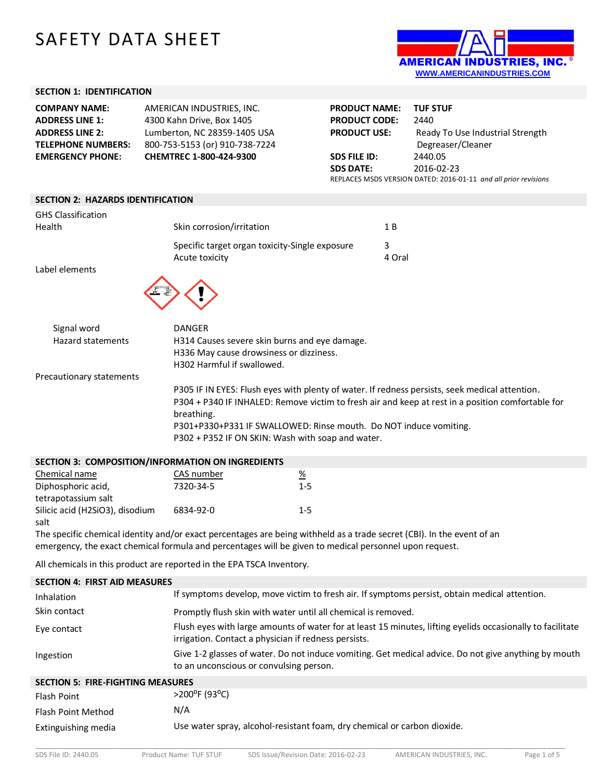# SAFETY DATA SHEET



## **SECTION 1: IDENTIFICATION**

| <b>COMPANY NAME:</b>      | AMERICAN INDUSTRIES. INC.      | <b>PRODUCT NAME:</b> | <b>TUF STUF</b>                                                 |
|---------------------------|--------------------------------|----------------------|-----------------------------------------------------------------|
| <b>ADDRESS LINE 1:</b>    | 4300 Kahn Drive, Box 1405      | <b>PRODUCT CODE:</b> | 2440                                                            |
| <b>ADDRESS LINE 2:</b>    | Lumberton, NC 28359-1405 USA   | <b>PRODUCT USE:</b>  | Ready To Use Industrial Strength                                |
| <b>TELEPHONE NUMBERS:</b> | 800-753-5153 (or) 910-738-7224 |                      | Degreaser/Cleaner                                               |
| <b>EMERGENCY PHONE:</b>   | <b>CHEMTREC 1-800-424-9300</b> | SDS FILE ID:         | 2440.05                                                         |
|                           |                                | <b>SDS DATE:</b>     | 2016-02-23                                                      |
|                           |                                |                      | REPLACES MSDS VERSION DATED: 2016-01-11 and all prior revisions |

#### **SECTION 2: HAZARDS IDENTIFICATION**

| <b>GHS Classification</b><br>Health | Skin corrosion/irritation                                                                                                                                                                                                                                                                                                                   | 1B     |
|-------------------------------------|---------------------------------------------------------------------------------------------------------------------------------------------------------------------------------------------------------------------------------------------------------------------------------------------------------------------------------------------|--------|
|                                     |                                                                                                                                                                                                                                                                                                                                             |        |
|                                     | Specific target organ toxicity-Single exposure                                                                                                                                                                                                                                                                                              | 3      |
|                                     | Acute toxicity                                                                                                                                                                                                                                                                                                                              | 4 Oral |
| Label elements                      |                                                                                                                                                                                                                                                                                                                                             |        |
| Signal word<br>Hazard statements    | <b>DANGER</b><br>H314 Causes severe skin burns and eye damage.<br>H336 May cause drowsiness or dizziness.                                                                                                                                                                                                                                   |        |
|                                     | H302 Harmful if swallowed.                                                                                                                                                                                                                                                                                                                  |        |
| Precautionary statements            |                                                                                                                                                                                                                                                                                                                                             |        |
|                                     | P305 IF IN EYES: Flush eyes with plenty of water. If redness persists, seek medical attention.<br>P304 + P340 IF INHALED: Remove victim to fresh air and keep at rest in a position comfortable for<br>breathing.<br>P301+P330+P331 IF SWALLOWED: Rinse mouth. Do NOT induce vomiting.<br>P302 + P352 IF ON SKIN: Wash with soap and water. |        |
|                                     |                                                                                                                                                                                                                                                                                                                                             |        |

| SECTION 3: COMPOSITION/INFORMATION ON INGREDIENTS |            |          |  |
|---------------------------------------------------|------------|----------|--|
| Chemical name                                     | CAS number | <u>%</u> |  |
| Diphosphoric acid,                                | 7320-34-5  | $1 - 5$  |  |
| tetrapotassium salt                               |            |          |  |
| Silicic acid (H2SiO3), disodium                   | 6834-92-0  | $1 - 5$  |  |
| salt                                              |            |          |  |

The specific chemical identity and/or exact percentages are being withheld as a trade secret (CBI). In the event of an emergency, the exact chemical formula and percentages will be given to medical personnel upon request.

All chemicals in this product are reported in the EPA TSCA Inventory.

| <b>SECTION 4: FIRST AID MEASURES</b>     |                                                                                                                                                                    |
|------------------------------------------|--------------------------------------------------------------------------------------------------------------------------------------------------------------------|
| <b>Inhalation</b>                        | If symptoms develop, move victim to fresh air. If symptoms persist, obtain medical attention.                                                                      |
| Skin contact                             | Promptly flush skin with water until all chemical is removed.                                                                                                      |
| Eye contact                              | Flush eyes with large amounts of water for at least 15 minutes, lifting eyelids occasionally to facilitate<br>irrigation. Contact a physician if redness persists. |
| Ingestion                                | Give 1-2 glasses of water. Do not induce vomiting. Get medical advice. Do not give anything by mouth<br>to an unconscious or convulsing person.                    |
| <b>SECTION 5: FIRE-FIGHTING MEASURES</b> |                                                                                                                                                                    |
| <b>Flash Point</b>                       | $>$ 200 <sup>o</sup> F (93 <sup>o</sup> C)                                                                                                                         |
| Flash Point Method                       | N/A                                                                                                                                                                |
| Extinguishing media                      | Use water spray, alcohol-resistant foam, dry chemical or carbon dioxide.                                                                                           |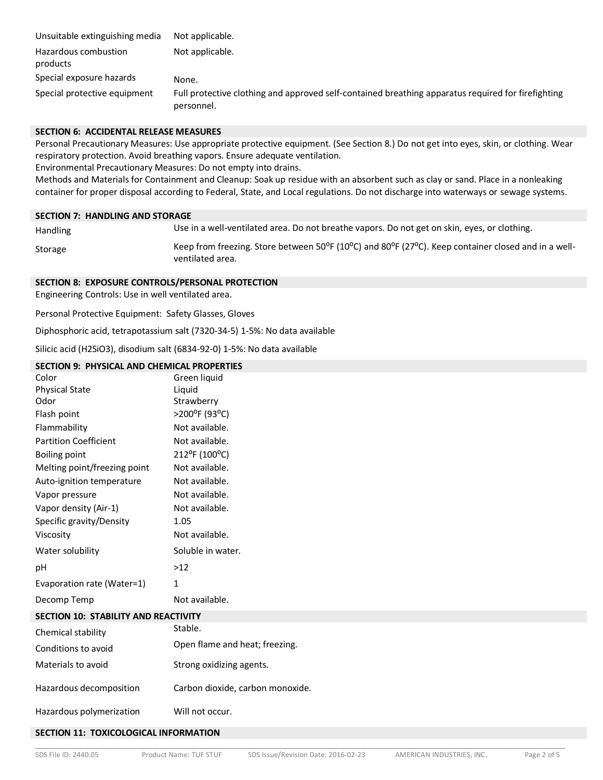| Unsuitable extinguishing media   | Not applicable.                                                                                                  |
|----------------------------------|------------------------------------------------------------------------------------------------------------------|
| Hazardous combustion<br>products | Not applicable.                                                                                                  |
| Special exposure hazards         | None.                                                                                                            |
| Special protective equipment     | Full protective clothing and approved self-contained breathing apparatus required for firefighting<br>personnel. |

#### **SECTION 6: ACCIDENTAL RELEASE MEASURES**

Personal Precautionary Measures: Use appropriate protective equipment. (See Section 8.) Do not get into eyes, skin, or clothing. Wear respiratory protection. Avoid breathing vapors. Ensure adequate ventilation.

Environmental Precautionary Measures: Do not empty into drains.

Methods and Materials for Containment and Cleanup: Soak up residue with an absorbent such as clay or sand. Place in a nonleaking container for proper disposal according to Federal, State, and Local regulations. Do not discharge into waterways or sewage systems.**7**

#### **SECTION 7: HANDLING AND STORAGE**

Handling Use in a well-ventilated area. Do not breathe vapors. Do not get on skin, eyes, or clothing.

Storage Keep from freezing. Store between 50<sup>o</sup>F (10<sup>o</sup>C) and 80<sup>o</sup>F (27<sup>o</sup>C). Keep container closed and in a wellventilated area.

## **SECTION 8: EXPOSURE CONTROLS/PERSONAL PROTECTION**

Engineering Controls: Use in well ventilated area.

Personal Protective Equipment: Safety Glasses, Gloves

Diphosphoric acid, tetrapotassium salt (7320-34-5) 1-5%: No data available

Silicic acid (H2SiO3), disodium salt (6834-92-0) 1-5%: No data available

# **SECTION 9: PHYSICAL AND CHEMICAL PROPERTIES**

| Color                                       | Green liquid                     |
|---------------------------------------------|----------------------------------|
| <b>Physical State</b>                       | Liquid                           |
| Odor                                        | Strawberry                       |
| Flash point                                 | >200°F (93°C)                    |
| Flammability                                | Not available.                   |
| <b>Partition Coefficient</b>                | Not available.                   |
| <b>Boiling point</b>                        | 212°F (100°C)                    |
| Melting point/freezing point                | Not available.                   |
| Auto-ignition temperature                   | Not available.                   |
| Vapor pressure                              | Not available.                   |
| Vapor density (Air-1)                       | Not available.                   |
| Specific gravity/Density                    | 1.05                             |
| Viscosity                                   | Not available.                   |
| Water solubility                            | Soluble in water.                |
| рH                                          | $>12$                            |
| Evaporation rate (Water=1)                  | 1                                |
| Decomp Temp                                 | Not available.                   |
| <b>SECTION 10: STABILITY AND REACTIVITY</b> |                                  |
| Chemical stability                          | Stable.                          |
| Conditions to avoid                         | Open flame and heat; freezing.   |
| Materials to avoid                          | Strong oxidizing agents.         |
| Hazardous decomposition                     | Carbon dioxide, carbon monoxide. |
| Hazardous polymerization                    | Will not occur.                  |
|                                             |                                  |

#### **SECTION 11: TOXICOLOGICAL INFORMATION**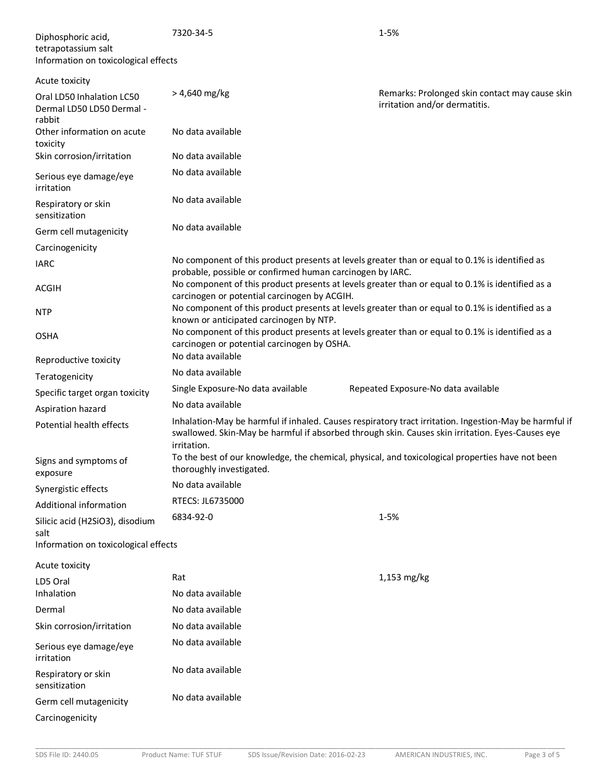| Diphosphoric acid,<br>tetrapotassium salt<br>Information on toxicological effects | 7320-34-5                                                 | $1 - 5%$                                                                                                                                                                                                   |
|-----------------------------------------------------------------------------------|-----------------------------------------------------------|------------------------------------------------------------------------------------------------------------------------------------------------------------------------------------------------------------|
| Acute toxicity                                                                    |                                                           |                                                                                                                                                                                                            |
| Oral LD50 Inhalation LC50<br>Dermal LD50 LD50 Dermal -<br>rabbit                  | $> 4,640$ mg/kg                                           | Remarks: Prolonged skin contact may cause skin<br>irritation and/or dermatitis.                                                                                                                            |
| Other information on acute<br>toxicity                                            | No data available                                         |                                                                                                                                                                                                            |
| Skin corrosion/irritation                                                         | No data available                                         |                                                                                                                                                                                                            |
| Serious eye damage/eye<br>irritation                                              | No data available                                         |                                                                                                                                                                                                            |
| Respiratory or skin<br>sensitization                                              | No data available                                         |                                                                                                                                                                                                            |
| Germ cell mutagenicity                                                            | No data available                                         |                                                                                                                                                                                                            |
| Carcinogenicity                                                                   |                                                           |                                                                                                                                                                                                            |
| <b>IARC</b>                                                                       | probable, possible or confirmed human carcinogen by IARC. | No component of this product presents at levels greater than or equal to 0.1% is identified as                                                                                                             |
| <b>ACGIH</b>                                                                      | carcinogen or potential carcinogen by ACGIH.              | No component of this product presents at levels greater than or equal to 0.1% is identified as a                                                                                                           |
| <b>NTP</b>                                                                        | known or anticipated carcinogen by NTP.                   | No component of this product presents at levels greater than or equal to 0.1% is identified as a                                                                                                           |
| <b>OSHA</b>                                                                       | carcinogen or potential carcinogen by OSHA.               | No component of this product presents at levels greater than or equal to 0.1% is identified as a                                                                                                           |
| Reproductive toxicity                                                             | No data available                                         |                                                                                                                                                                                                            |
| Teratogenicity                                                                    | No data available                                         |                                                                                                                                                                                                            |
| Specific target organ toxicity                                                    | Single Exposure-No data available                         | Repeated Exposure-No data available                                                                                                                                                                        |
| Aspiration hazard                                                                 | No data available                                         |                                                                                                                                                                                                            |
| Potential health effects                                                          | irritation.                                               | Inhalation-May be harmful if inhaled. Causes respiratory tract irritation. Ingestion-May be harmful if<br>swallowed. Skin-May be harmful if absorbed through skin. Causes skin irritation. Eyes-Causes eye |
| Signs and symptoms of<br>exposure                                                 | thoroughly investigated.                                  | To the best of our knowledge, the chemical, physical, and toxicological properties have not been                                                                                                           |
| Synergistic effects                                                               | No data available                                         |                                                                                                                                                                                                            |
| Additional information                                                            | RTECS: JL6735000                                          |                                                                                                                                                                                                            |
| Silicic acid (H2SiO3), disodium<br>salt                                           | 6834-92-0                                                 | 1-5%                                                                                                                                                                                                       |
| Information on toxicological effects                                              |                                                           |                                                                                                                                                                                                            |
| Acute toxicity                                                                    |                                                           |                                                                                                                                                                                                            |
| LD5 Oral                                                                          | Rat                                                       | $1,153$ mg/kg                                                                                                                                                                                              |
| Inhalation                                                                        | No data available                                         |                                                                                                                                                                                                            |
| Dermal                                                                            | No data available                                         |                                                                                                                                                                                                            |
| Skin corrosion/irritation                                                         | No data available                                         |                                                                                                                                                                                                            |
| Serious eye damage/eye<br>irritation                                              | No data available                                         |                                                                                                                                                                                                            |
| Respiratory or skin<br>sensitization                                              | No data available                                         |                                                                                                                                                                                                            |
| Germ cell mutagenicity                                                            | No data available                                         |                                                                                                                                                                                                            |
| Carcinogenicity                                                                   |                                                           |                                                                                                                                                                                                            |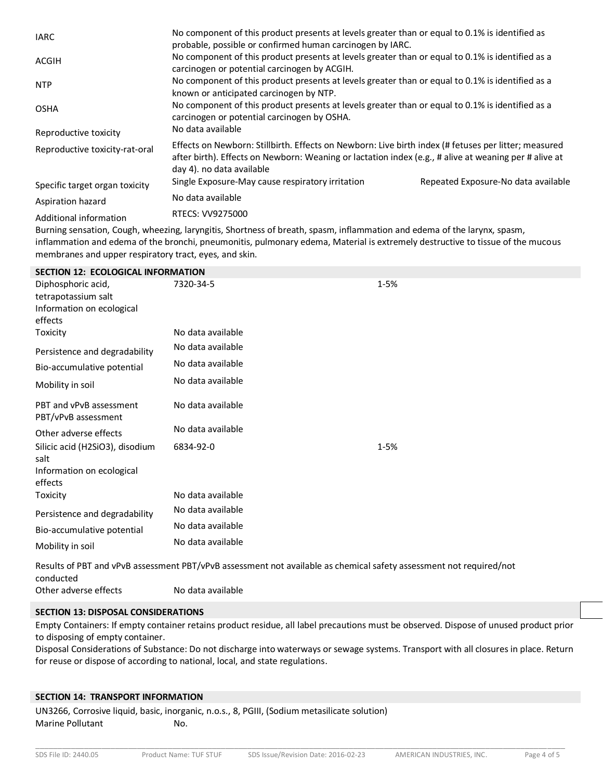| <b>IARC</b>                    | No component of this product presents at levels greater than or equal to 0.1% is identified as<br>probable, possible or confirmed human carcinogen by IARC.                                                                                |                                     |
|--------------------------------|--------------------------------------------------------------------------------------------------------------------------------------------------------------------------------------------------------------------------------------------|-------------------------------------|
| ACGIH                          | No component of this product presents at levels greater than or equal to 0.1% is identified as a<br>carcinogen or potential carcinogen by ACGIH.                                                                                           |                                     |
| <b>NTP</b>                     | No component of this product presents at levels greater than or equal to 0.1% is identified as a<br>known or anticipated carcinogen by NTP.                                                                                                |                                     |
| <b>OSHA</b>                    | No component of this product presents at levels greater than or equal to 0.1% is identified as a<br>carcinogen or potential carcinogen by OSHA.                                                                                            |                                     |
| Reproductive toxicity          | No data available                                                                                                                                                                                                                          |                                     |
| Reproductive toxicity-rat-oral | Effects on Newborn: Stillbirth. Effects on Newborn: Live birth index (# fetuses per litter; measured<br>after birth). Effects on Newborn: Weaning or lactation index (e.g., # alive at weaning per # alive at<br>day 4). no data available |                                     |
| Specific target organ toxicity | Single Exposure-May cause respiratory irritation                                                                                                                                                                                           | Repeated Exposure-No data available |
| Aspiration hazard              | No data available                                                                                                                                                                                                                          |                                     |
| Additional information         | RTECS: VV9275000                                                                                                                                                                                                                           |                                     |
|                                | Dupping sangating Caugh ukasaing lappatitis Chaptuses of broath species inflommation and selected of the lapper species                                                                                                                    |                                     |

Burning sensation, Cough, wheezing, laryngitis, Shortness of breath, spasm, inflammation and edema of the larynx, spasm, inflammation and edema of the bronchi, pneumonitis, pulmonary edema, Material is extremely destructive to tissue of the mucous membranes and upper respiratory tract, eyes, and skin.

| <b>SECTION 12: ECOLOGICAL INFORMATION</b>                                         |                   |                                                                                                                       |
|-----------------------------------------------------------------------------------|-------------------|-----------------------------------------------------------------------------------------------------------------------|
| Diphosphoric acid,<br>tetrapotassium salt<br>Information on ecological<br>effects | 7320-34-5         | $1 - 5%$                                                                                                              |
| Toxicity                                                                          | No data available |                                                                                                                       |
| Persistence and degradability                                                     | No data available |                                                                                                                       |
| Bio-accumulative potential                                                        | No data available |                                                                                                                       |
| Mobility in soil                                                                  | No data available |                                                                                                                       |
| PBT and vPvB assessment<br>PBT/vPvB assessment                                    | No data available |                                                                                                                       |
| Other adverse effects                                                             | No data available |                                                                                                                       |
| Silicic acid (H2SiO3), disodium<br>salt<br>Information on ecological<br>effects   | 6834-92-0         | $1 - 5%$                                                                                                              |
| Toxicity                                                                          | No data available |                                                                                                                       |
| Persistence and degradability                                                     | No data available |                                                                                                                       |
| Bio-accumulative potential                                                        | No data available |                                                                                                                       |
| Mobility in soil                                                                  | No data available |                                                                                                                       |
|                                                                                   |                   | Besults of BBT and vByB according t BBT (vByB according not qualiphly ac chamical cafety according that roquired last |

Results of PBT and vPvB assessment PBT/vPvB assessment not available as chemical safety assessment not required/not conducted Other adverse effects No data available

# **SECTION 13: DISPOSAL CONSIDERATIONS**

Empty Containers: If empty container retains product residue, all label precautions must be observed. Dispose of unused product prior to disposing of empty container.

Disposal Considerations of Substance: Do not discharge into waterways or sewage systems. Transport with all closures in place. Return for reuse or dispose of according to national, local, and state regulations.

# **SECTION 14: TRANSPORT INFORMATION**

UN3266, Corrosive liquid, basic, inorganic, n.o.s., 8, PGIII, (Sodium metasilicate solution) Marine Pollutant No.